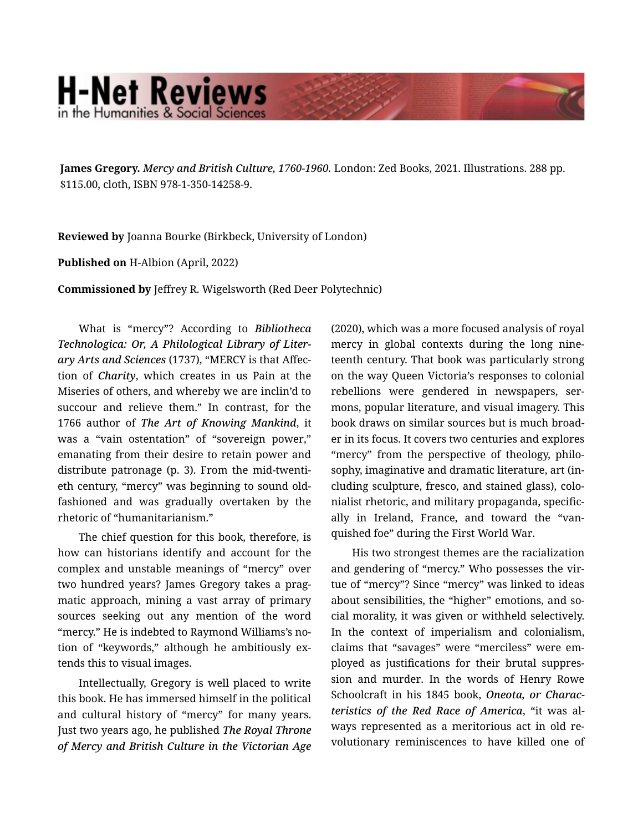## **H-Net Reviews**

**James Gregory.** *Mercy and British Culture, 1760-1960.* London: Zed Books, 2021. Illustrations. 288 pp. \$115.00, cloth, ISBN 978-1-350-14258-9.

**Reviewed by** Joanna Bourke (Birkbeck, University of London)

## **Published on** H-Albion (April, 2022)

**Commissioned by** Jeffrey R. Wigelsworth (Red Deer Polytechnic)

What is "mercy"? According to *Bibliotheca Technologica: Or, A Philological Library of Liter‐ ary Arts and Sciences* (1737), "MERCY is that Affec‐ tion of *Charity*, which creates in us Pain at the Miseries of others, and whereby we are inclin'd to succour and relieve them." In contrast, for the 1766 author of *The Art of Knowing Mankind*, it was a "vain ostentation" of "sovereign power," emanating from their desire to retain power and distribute patronage (p. 3). From the mid-twenti‐ eth century, "mercy" was beginning to sound oldfashioned and was gradually overtaken by the rhetoric of "humanitarianism."

The chief question for this book, therefore, is how can historians identify and account for the complex and unstable meanings of "mercy" over two hundred years? James Gregory takes a prag‐ matic approach, mining a vast array of primary sources seeking out any mention of the word "mercy." He is indebted to Raymond Williams's no‐ tion of "keywords," although he ambitiously ex‐ tends this to visual images.

Intellectually, Gregory is well placed to write this book. He has immersed himself in the political and cultural history of "mercy" for many years. Just two years ago, he published *The Royal Throne of Mercy and British Culture in the Victorian Age*

(2020), which was a more focused analysis of royal mercy in global contexts during the long nine‐ teenth century. That book was particularly strong on the way Queen Victoria's responses to colonial rebellions were gendered in newspapers, sermons, popular literature, and visual imagery. This book draws on similar sources but is much broad‐ er in its focus. It covers two centuries and explores "mercy" from the perspective of theology, philo‐ sophy, imaginative and dramatic literature, art (in‐ cluding sculpture, fresco, and stained glass), colo‐ nialist rhetoric, and military propaganda, specific‐ ally in Ireland, France, and toward the "van‐ quished foe" during the First World War.

His two strongest themes are the racialization and gendering of "mercy." Who possesses the vir‐ tue of "mercy"? Since "mercy" was linked to ideas about sensibilities, the "higher" emotions, and social morality, it was given or withheld selectively. In the context of imperialism and colonialism, claims that "savages" were "merciless" were em‐ ployed as justifications for their brutal suppres‐ sion and murder. In the words of Henry Rowe Schoolcraft in his 1845 book, *Oneota, or Charac‐ teristics of the Red Race of America*, "it was al‐ ways represented as a meritorious act in old re‐ volutionary reminiscences to have killed one of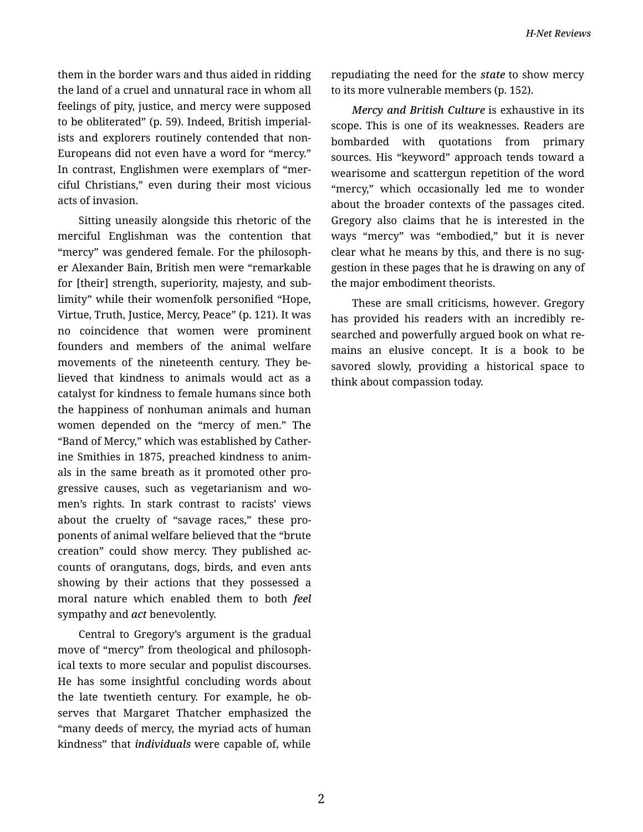them in the border wars and thus aided in ridding the land of a cruel and unnatural race in whom all feelings of pity, justice, and mercy were supposed to be obliterated" (p. 59). Indeed, British imperial‐ ists and explorers routinely contended that non-Europeans did not even have a word for "mercy." In contrast, Englishmen were exemplars of "mer‐ ciful Christians," even during their most vicious acts of invasion.

Sitting uneasily alongside this rhetoric of the merciful Englishman was the contention that "mercy" was gendered female. For the philosoph‐ er Alexander Bain, British men were "remarkable for [their] strength, superiority, majesty, and sub‐ limity" while their womenfolk personified "Hope, Virtue, Truth, Justice, Mercy, Peace" (p. 121). It was no coincidence that women were prominent founders and members of the animal welfare movements of the nineteenth century. They be‐ lieved that kindness to animals would act as a catalyst for kindness to female humans since both the happiness of nonhuman animals and human women depended on the "mercy of men." The "Band of Mercy," which was established by Cather‐ ine Smithies in 1875, preached kindness to anim‐ als in the same breath as it promoted other pro‐ gressive causes, such as vegetarianism and wo‐ men's rights. In stark contrast to racists' views about the cruelty of "savage races," these pro‐ ponents of animal welfare believed that the "brute creation" could show mercy. They published ac‐ counts of orangutans, dogs, birds, and even ants showing by their actions that they possessed a moral nature which enabled them to both *feel*  sympathy and *act* benevolently.

Central to Gregory's argument is the gradual move of "mercy" from theological and philosoph‐ ical texts to more secular and populist discourses. He has some insightful concluding words about the late twentieth century. For example, he ob‐ serves that Margaret Thatcher emphasized the "many deeds of mercy, the myriad acts of human kindness" that *individuals* were capable of, while

repudiating the need for the *state* to show mercy to its more vulnerable members (p. 152).

*Mercy and British Culture* is exhaustive in its scope. This is one of its weaknesses. Readers are bombarded with quotations from primary sources. His "keyword" approach tends toward a wearisome and scattergun repetition of the word "mercy," which occasionally led me to wonder about the broader contexts of the passages cited. Gregory also claims that he is interested in the ways "mercy" was "embodied," but it is never clear what he means by this, and there is no sug‐ gestion in these pages that he is drawing on any of the major embodiment theorists.

These are small criticisms, however. Gregory has provided his readers with an incredibly re‐ searched and powerfully argued book on what re‐ mains an elusive concept. It is a book to be savored slowly, providing a historical space to think about compassion today.